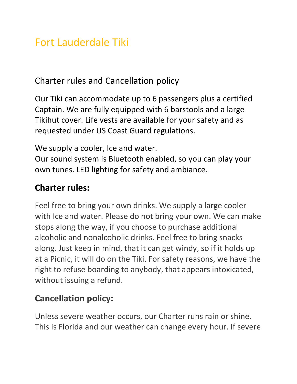## Fort Lauderdale Tiki

Charter rules and Cancellation policy

Our Tiki can accommodate up to 6 passengers plus a certified Captain. We are fully equipped with 6 barstools and a large Tikihut cover. Life vests are available for your safety and as requested under US Coast Guard regulations.

We supply a cooler, Ice and water.

Our sound system is Bluetooth enabled, so you can play your own tunes. LED lighting for safety and ambiance.

#### **Charter rules:**

Feel free to bring your own drinks. We supply a large cooler with Ice and water. Please do not bring your own. We can make stops along the way, if you choose to purchase additional alcoholic and nonalcoholic drinks. Feel free to bring snacks along. Just keep in mind, that it can get windy, so if it holds up at a Picnic, it will do on the Tiki. For safety reasons, we have the right to refuse boarding to anybody, that appears intoxicated, without issuing a refund.

#### **Cancellation policy:**

Unless severe weather occurs, our Charter runs rain or shine. This is Florida and our weather can change every hour. If severe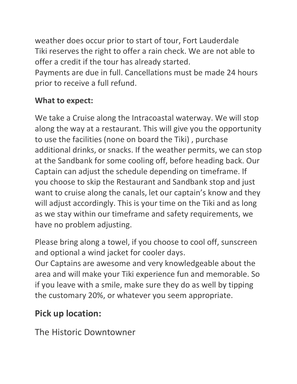weather does occur prior to start of tour, Fort Lauderdale Tiki reserves the right to offer a rain check. We are not able to offer a credit if the tour has already started.

Payments are due in full. Cancellations must be made 24 hours prior to receive a full refund.

#### **What to expect:**

We take a Cruise along the Intracoastal waterway. We will stop along the way at a restaurant. This will give you the opportunity to use the facilities (none on board the Tiki) , purchase additional drinks, or snacks. If the weather permits, we can stop at the Sandbank for some cooling off, before heading back. Our Captain can adjust the schedule depending on timeframe. If you choose to skip the Restaurant and Sandbank stop and just want to cruise along the canals, let our captain's know and they will adjust accordingly. This is your time on the Tiki and as long as we stay within our timeframe and safety requirements, we have no problem adjusting.

Please bring along a towel, if you choose to cool off, sunscreen and optional a wind jacket for cooler days.

Our Captains are awesome and very knowledgeable about the area and will make your Tiki experience fun and memorable. So if you leave with a smile, make sure they do as well by tipping the customary 20%, or whatever you seem appropriate.

#### **Pick up location:**

The Historic Downtowner